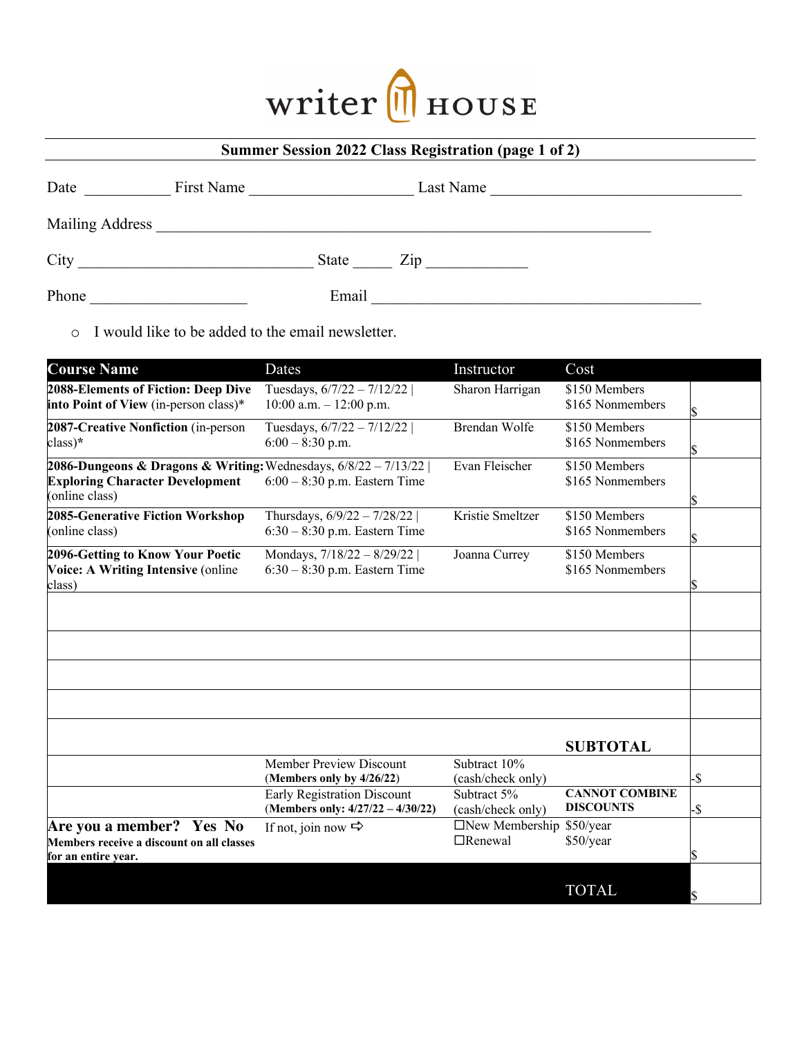## Writer MHOUSE

|  | <b>Summer Session 2022 Class Registration (page 1 of 2)</b> |  |
|--|-------------------------------------------------------------|--|
|--|-------------------------------------------------------------|--|

| Date            | First Name |       |                                   |  |
|-----------------|------------|-------|-----------------------------------|--|
| Mailing Address |            |       |                                   |  |
| City            |            | State | $\mathop{\mathrm {Zip}}\nolimits$ |  |
| Phone           |            | Email |                                   |  |

o I would like to be added to the email newsletter.

| <b>Course Name</b>                                                                                                            | Dates                                                                   | Instructor                              | Cost                                      |     |
|-------------------------------------------------------------------------------------------------------------------------------|-------------------------------------------------------------------------|-----------------------------------------|-------------------------------------------|-----|
| 2088-Elements of Fiction: Deep Dive<br>into Point of View (in-person class)*                                                  | Tuesdays, $6/7/22 - 7/12/22$<br>$10:00$ a.m. $-12:00$ p.m.              | Sharon Harrigan                         | \$150 Members<br>\$165 Nonmembers         |     |
| 2087-Creative Nonfiction (in-person<br>class)*                                                                                | Tuesdays, 6/7/22 - 7/12/22  <br>$6:00 - 8:30$ p.m.                      | Brendan Wolfe                           | \$150 Members<br>\$165 Nonmembers         |     |
| 2086-Dungeons & Dragons & Writing: Wednesdays, $6/8/22 - 7/13/22$<br><b>Exploring Character Development</b><br>(online class) | $6:00 - 8:30$ p.m. Eastern Time                                         | Evan Fleischer                          | \$150 Members<br>\$165 Nonmembers         |     |
| 2085-Generative Fiction Workshop<br>(online class)                                                                            | Thursdays, 6/9/22 - 7/28/22<br>$6:30 - 8:30$ p.m. Eastern Time          | Kristie Smeltzer                        | \$150 Members<br>\$165 Nonmembers         |     |
| 2096-Getting to Know Your Poetic<br>Voice: A Writing Intensive (online<br>class)                                              | Mondays, 7/18/22 - 8/29/22  <br>$6:30 - 8:30$ p.m. Eastern Time         | Joanna Currey                           | \$150 Members<br>\$165 Nonmembers         |     |
|                                                                                                                               |                                                                         |                                         |                                           |     |
|                                                                                                                               |                                                                         |                                         | <b>SUBTOTAL</b>                           |     |
|                                                                                                                               | Member Preview Discount<br>(Members only by 4/26/22)                    | Subtract 10%<br>(cash/check only)       |                                           | -\$ |
|                                                                                                                               | <b>Early Registration Discount</b><br>(Members only: 4/27/22 - 4/30/22) | Subtract 5%<br>(cash/check only)        | <b>CANNOT COMBINE</b><br><b>DISCOUNTS</b> | -\$ |
| Are you a member? Yes No<br>Members receive a discount on all classes<br>for an entire year.                                  | If not, join now $\Rightarrow$                                          | $\Box$ New Membership<br>$\Box$ Renewal | \$50/year<br>\$50/year                    |     |
|                                                                                                                               |                                                                         |                                         | <b>TOTAL</b>                              | \$  |